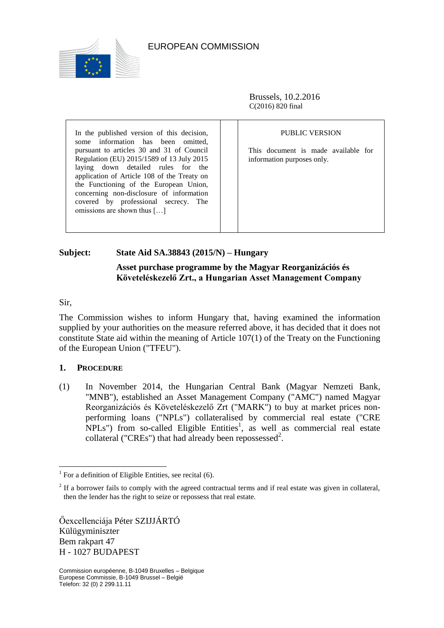

## EUROPEAN COMMISSION

Brussels, 10.2.2016 C(2016) 820 final

In the published version of this decision, some information has been omitted, pursuant to articles 30 and 31 of Council Regulation (EU) 2015/1589 of 13 July 2015 laying down detailed rules for the application of Article 108 of the Treaty on the Functioning of the European Union, concerning non-disclosure of information covered by professional secrecy. The omissions are shown thus […]

PUBLIC VERSION

This document is made available for information purposes only.

## **Subject: State Aid SA.38843 (2015/N) – Hungary**

## **Asset purchase programme by the Magyar Reorganizációs és Követeléskezelő Zrt., a Hungarian Asset Management Company**

Sir,

 $\overline{a}$ 

The Commission wishes to inform Hungary that, having examined the information supplied by your authorities on the measure referred above, it has decided that it does not constitute State aid within the meaning of Article 107(1) of the Treaty on the Functioning of the European Union ("TFEU").

## **1. PROCEDURE**

(1) In November 2014, the Hungarian Central Bank (Magyar Nemzeti Bank, "MNB"), established an Asset Management Company ("AMC") named Magyar Reorganizációs és Követeléskezelő Zrt ("MARK") to buy at market prices nonperforming loans ("NPLs") collateralised by commercial real estate ("CRE  $NPLs$ ") from so-called Eligible Entities<sup>1</sup>, as well as commercial real estate collateral ("CREs") that had already been repossessed<sup>2</sup>.

Őexcellenciája Péter SZIJJÁRTÓ Külügyminiszter Bem rakpart 47 H - 1027 BUDAPEST

 $1$  For a definition of Eligible Entities, see recital [\(6\).](#page-1-0)

 $2<sup>2</sup>$  If a borrower fails to comply with the agreed contractual terms and if real estate was given in collateral, then the lender has the right to seize or repossess that real estate.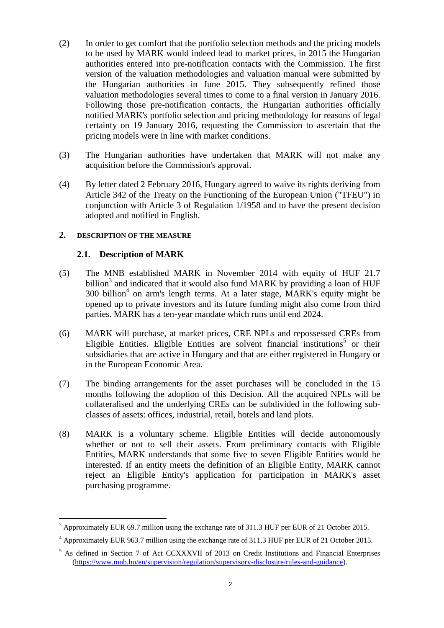- (2) In order to get comfort that the portfolio selection methods and the pricing models to be used by MARK would indeed lead to market prices, in 2015 the Hungarian authorities entered into pre-notification contacts with the Commission. The first version of the valuation methodologies and valuation manual were submitted by the Hungarian authorities in June 2015. They subsequently refined those valuation methodologies several times to come to a final version in January 2016. Following those pre-notification contacts, the Hungarian authorities officially notified MARK's portfolio selection and pricing methodology for reasons of legal certainty on 19 January 2016, requesting the Commission to ascertain that the pricing models were in line with market conditions.
- (3) The Hungarian authorities have undertaken that MARK will not make any acquisition before the Commission's approval.
- (4) By letter dated 2 February 2016, Hungary agreed to waive its rights deriving from Article 342 of the Treaty on the Functioning of the European Union ("TFEU") in conjunction with Article 3 of Regulation 1/1958 and to have the present decision adopted and notified in English.

## **2. DESCRIPTION OF THE MEASURE**

## **2.1. Description of MARK**

- (5) The MNB established MARK in November 2014 with equity of HUF 21.7 billion<sup>3</sup> and indicated that it would also fund MARK by providing a loan of HUF 300 billion<sup>4</sup> on arm's length terms. At a later stage, MARK's equity might be opened up to private investors and its future funding might also come from third parties. MARK has a ten-year mandate which runs until end 2024.
- <span id="page-1-0"></span>(6) MARK will purchase, at market prices, CRE NPLs and repossessed CREs from Eligible Entities. Eligible Entities are solvent financial institutions<sup>5</sup> or their subsidiaries that are active in Hungary and that are either registered in Hungary or in the European Economic Area.
- (7) The binding arrangements for the asset purchases will be concluded in the 15 months following the adoption of this Decision. All the acquired NPLs will be collateralised and the underlying CREs can be subdivided in the following subclasses of assets: offices, industrial, retail, hotels and land plots.
- (8) MARK is a voluntary scheme. Eligible Entities will decide autonomously whether or not to sell their assets. From preliminary contacts with Eligible Entities, MARK understands that some five to seven Eligible Entities would be interested. If an entity meets the definition of an Eligible Entity, MARK cannot reject an Eligible Entity's application for participation in MARK's asset purchasing programme.

 $3$  Approximately EUR 69.7 million using the exchange rate of 311.3 HUF per EUR of 21 October 2015.

<sup>&</sup>lt;sup>4</sup> Approximately EUR 963.7 million using the exchange rate of 311.3 HUF per EUR of 21 October 2015.

<sup>&</sup>lt;sup>5</sup> As defined in Section 7 of Act CCXXXVII of 2013 on Credit Institutions and Financial Enterprises [\(https://www.mnb.hu/en/supervision/regulation/supervisory-disclosure/rules-and-guidance\)](https://www.mnb.hu/en/supervision/regulation/supervisory-disclosure/rules-and-guidance).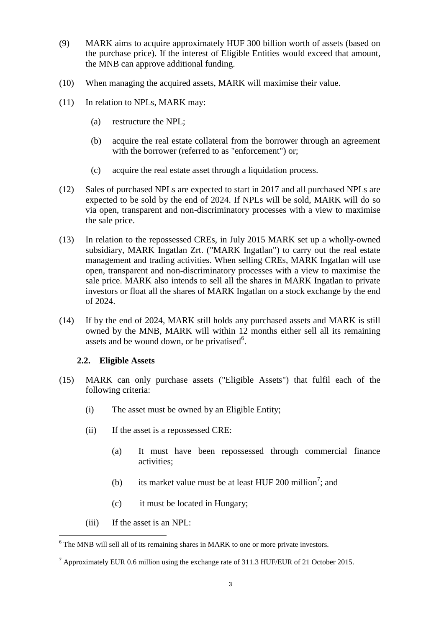- (9) MARK aims to acquire approximately HUF 300 billion worth of assets (based on the purchase price). If the interest of Eligible Entities would exceed that amount, the MNB can approve additional funding.
- <span id="page-2-0"></span>(10) When managing the acquired assets, MARK will maximise their value.
- (11) In relation to NPLs, MARK may:
	- (a) restructure the NPL;
	- (b) acquire the real estate collateral from the borrower through an agreement with the borrower (referred to as "enforcement") or;
	- (c) acquire the real estate asset through a liquidation process.
- (12) Sales of purchased NPLs are expected to start in 2017 and all purchased NPLs are expected to be sold by the end of 2024. If NPLs will be sold, MARK will do so via open, transparent and non-discriminatory processes with a view to maximise the sale price.
- (13) In relation to the repossessed CREs, in July 2015 MARK set up a wholly-owned subsidiary, MARK Ingatlan Zrt. ("MARK Ingatlan") to carry out the real estate management and trading activities. When selling CREs, MARK Ingatlan will use open, transparent and non-discriminatory processes with a view to maximise the sale price. MARK also intends to sell all the shares in MARK Ingatlan to private investors or float all the shares of MARK Ingatlan on a stock exchange by the end of 2024.
- (14) If by the end of 2024, MARK still holds any purchased assets and MARK is still owned by the MNB, MARK will within 12 months either sell all its remaining assets and be wound down, or be privatised $6$ .

#### **2.2. Eligible Assets**

- (15) MARK can only purchase assets ("Eligible Assets") that fulfil each of the following criteria:
	- (i) The asset must be owned by an Eligible Entity;
	- (ii) If the asset is a repossessed CRE:
		- (a) It must have been repossessed through commercial finance activities;
		- (b) its market value must be at least HUF 200 million<sup>7</sup>; and
		- (c) it must be located in Hungary;
	- (iii) If the asset is an NPL:

 $6$  The MNB will sell all of its remaining shares in MARK to one or more private investors.

 $^7$  Approximately EUR 0.6 million using the exchange rate of 311.3 HUF/EUR of 21 October 2015.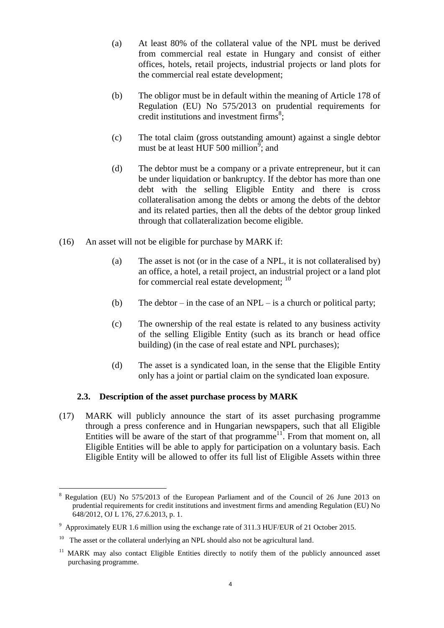- (a) At least 80% of the collateral value of the NPL must be derived from commercial real estate in Hungary and consist of either offices, hotels, retail projects, industrial projects or land plots for the commercial real estate development;
- (b) The obligor must be in default within the meaning of Article 178 of Regulation (EU) No 575/2013 on prudential requirements for credit institutions and investment firms ${}^{8}$ ;
- (c) The total claim (gross outstanding amount) against a single debtor must be at least HUF 500 million<sup>9</sup>; and
- (d) The debtor must be a company or a private entrepreneur, but it can be under liquidation or bankruptcy. If the debtor has more than one debt with the selling Eligible Entity and there is cross collateralisation among the debts or among the debts of the debtor and its related parties, then all the debts of the debtor group linked through that collateralization become eligible.
- (16) An asset will not be eligible for purchase by MARK if:
	- (a) The asset is not (or in the case of a NPL, it is not collateralised by) an office, a hotel, a retail project, an industrial project or a land plot for commercial real estate development; <sup>10</sup>
	- (b) The debtor in the case of an NPL is a church or political party;
	- (c) The ownership of the real estate is related to any business activity of the selling Eligible Entity (such as its branch or head office building) (in the case of real estate and NPL purchases);
	- (d) The asset is a syndicated loan, in the sense that the Eligible Entity only has a joint or partial claim on the syndicated loan exposure.

## **2.3. Description of the asset purchase process by MARK**

(17) MARK will publicly announce the start of its asset purchasing programme through a press conference and in Hungarian newspapers, such that all Eligible Entities will be aware of the start of that programme<sup>11</sup>. From that moment on, all Eligible Entities will be able to apply for participation on a voluntary basis. Each Eligible Entity will be allowed to offer its full list of Eligible Assets within three

 $\overline{a}$ <sup>8</sup> Regulation (EU) No 575/2013 of the European Parliament and of the Council of 26 June 2013 on prudential requirements for credit institutions and investment firms and amending Regulation (EU) No 648/2012, OJ L 176, 27.6.2013, p. 1.

 $9$  Approximately EUR 1.6 million using the exchange rate of 311.3 HUF/EUR of 21 October 2015.

 $10$  The asset or the collateral underlying an NPL should also not be agricultural land.

<sup>11</sup> MARK may also contact Eligible Entities directly to notify them of the publicly announced asset purchasing programme.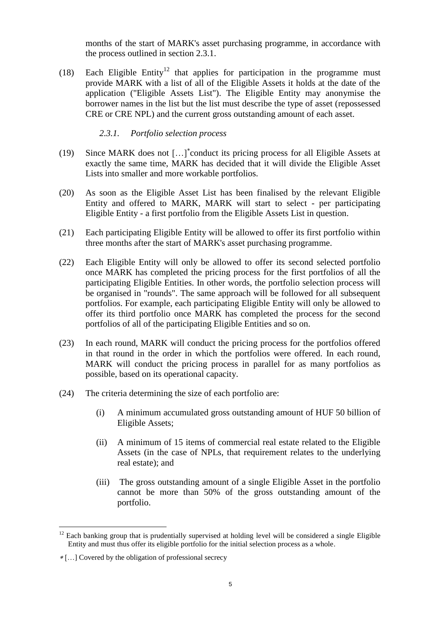months of the start of MARK's asset purchasing programme, in accordance with the process outlined in section 2.3.1.

(18) Each Eligible Entity<sup>12</sup> that applies for participation in the programme must provide MARK with a list of all of the Eligible Assets it holds at the date of the application ("Eligible Assets List"). The Eligible Entity may anonymise the borrower names in the list but the list must describe the type of asset (repossessed CRE or CRE NPL) and the current gross outstanding amount of each asset.

*2.3.1. Portfolio selection process*

- (19) Since MARK does not […] conduct its pricing process for all Eligible Assets at exactly the same time, MARK has decided that it will divide the Eligible Asset Lists into smaller and more workable portfolios.
- (20) As soon as the Eligible Asset List has been finalised by the relevant Eligible Entity and offered to MARK, MARK will start to select - per participating Eligible Entity - a first portfolio from the Eligible Assets List in question.
- (21) Each participating Eligible Entity will be allowed to offer its first portfolio within three months after the start of MARK's asset purchasing programme.
- (22) Each Eligible Entity will only be allowed to offer its second selected portfolio once MARK has completed the pricing process for the first portfolios of all the participating Eligible Entities. In other words, the portfolio selection process will be organised in "rounds". The same approach will be followed for all subsequent portfolios. For example, each participating Eligible Entity will only be allowed to offer its third portfolio once MARK has completed the process for the second portfolios of all of the participating Eligible Entities and so on.
- (23) In each round, MARK will conduct the pricing process for the portfolios offered in that round in the order in which the portfolios were offered. In each round, MARK will conduct the pricing process in parallel for as many portfolios as possible, based on its operational capacity.
- (24) The criteria determining the size of each portfolio are:
	- (i) A minimum accumulated gross outstanding amount of HUF 50 billion of Eligible Assets;
	- (ii) A minimum of 15 items of commercial real estate related to the Eligible Assets (in the case of NPLs, that requirement relates to the underlying real estate); and
	- (iii) The gross outstanding amount of a single Eligible Asset in the portfolio cannot be more than 50% of the gross outstanding amount of the portfolio.

 $12$  Each banking group that is prudentially supervised at holding level will be considered a single Eligible Entity and must thus offer its eligible portfolio for the initial selection process as a whole.

[…] Covered by the obligation of professional secrecy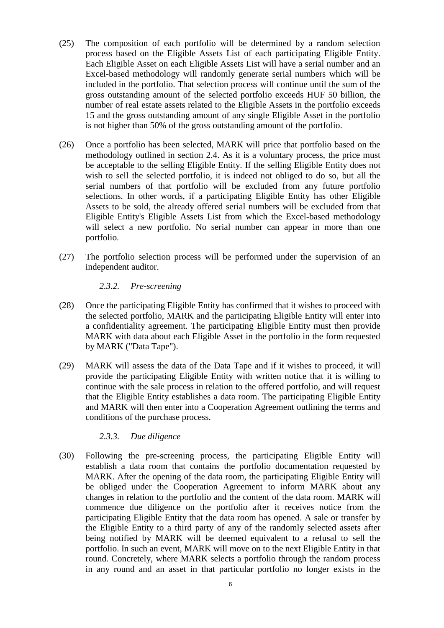- (25) The composition of each portfolio will be determined by a random selection process based on the Eligible Assets List of each participating Eligible Entity. Each Eligible Asset on each Eligible Assets List will have a serial number and an Excel-based methodology will randomly generate serial numbers which will be included in the portfolio. That selection process will continue until the sum of the gross outstanding amount of the selected portfolio exceeds HUF 50 billion, the number of real estate assets related to the Eligible Assets in the portfolio exceeds 15 and the gross outstanding amount of any single Eligible Asset in the portfolio is not higher than 50% of the gross outstanding amount of the portfolio.
- (26) Once a portfolio has been selected, MARK will price that portfolio based on the methodology outlined in section 2.4. As it is a voluntary process, the price must be acceptable to the selling Eligible Entity. If the selling Eligible Entity does not wish to sell the selected portfolio, it is indeed not obliged to do so, but all the serial numbers of that portfolio will be excluded from any future portfolio selections. In other words, if a participating Eligible Entity has other Eligible Assets to be sold, the already offered serial numbers will be excluded from that Eligible Entity's Eligible Assets List from which the Excel-based methodology will select a new portfolio. No serial number can appear in more than one portfolio.
- (27) The portfolio selection process will be performed under the supervision of an independent auditor.

#### *2.3.2. Pre-screening*

- (28) Once the participating Eligible Entity has confirmed that it wishes to proceed with the selected portfolio, MARK and the participating Eligible Entity will enter into a confidentiality agreement. The participating Eligible Entity must then provide MARK with data about each Eligible Asset in the portfolio in the form requested by MARK ("Data Tape").
- (29) MARK will assess the data of the Data Tape and if it wishes to proceed, it will provide the participating Eligible Entity with written notice that it is willing to continue with the sale process in relation to the offered portfolio, and will request that the Eligible Entity establishes a data room. The participating Eligible Entity and MARK will then enter into a Cooperation Agreement outlining the terms and conditions of the purchase process.

## *2.3.3. Due diligence*

(30) Following the pre-screening process, the participating Eligible Entity will establish a data room that contains the portfolio documentation requested by MARK. After the opening of the data room, the participating Eligible Entity will be obliged under the Cooperation Agreement to inform MARK about any changes in relation to the portfolio and the content of the data room. MARK will commence due diligence on the portfolio after it receives notice from the participating Eligible Entity that the data room has opened. A sale or transfer by the Eligible Entity to a third party of any of the randomly selected assets after being notified by MARK will be deemed equivalent to a refusal to sell the portfolio. In such an event, MARK will move on to the next Eligible Entity in that round. Concretely, where MARK selects a portfolio through the random process in any round and an asset in that particular portfolio no longer exists in the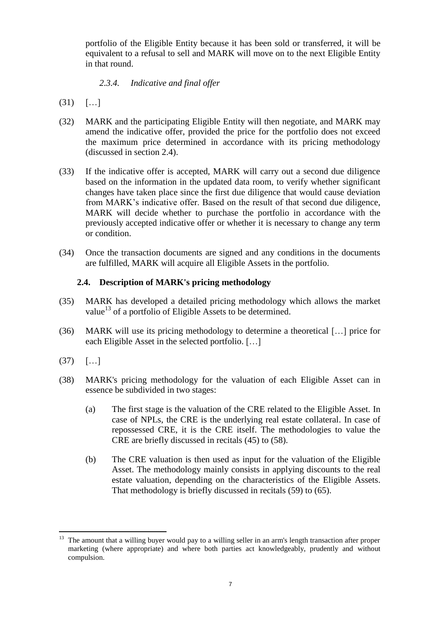portfolio of the Eligible Entity because it has been sold or transferred, it will be equivalent to a refusal to sell and MARK will move on to the next Eligible Entity in that round.

## *2.3.4. Indicative and final offer*

- $(31)$   $[...]$
- (32) MARK and the participating Eligible Entity will then negotiate, and MARK may amend the indicative offer, provided the price for the portfolio does not exceed the maximum price determined in accordance with its pricing methodology (discussed in section 2.4).
- (33) If the indicative offer is accepted, MARK will carry out a second due diligence based on the information in the updated data room, to verify whether significant changes have taken place since the first due diligence that would cause deviation from MARK's indicative offer. Based on the result of that second due diligence, MARK will decide whether to purchase the portfolio in accordance with the previously accepted indicative offer or whether it is necessary to change any term or condition.
- (34) Once the transaction documents are signed and any conditions in the documents are fulfilled, MARK will acquire all Eligible Assets in the portfolio.

## **2.4. Description of MARK's pricing methodology**

- (35) MARK has developed a detailed pricing methodology which allows the market value<sup>13</sup> of a portfolio of Eligible Assets to be determined.
- (36) MARK will use its pricing methodology to determine a theoretical […] price for each Eligible Asset in the selected portfolio. […]
- $(37)$   $[...]$
- <span id="page-6-0"></span>(38) MARK's pricing methodology for the valuation of each Eligible Asset can in essence be subdivided in two stages:
	- (a) The first stage is the valuation of the CRE related to the Eligible Asset. In case of NPLs, the CRE is the underlying real estate collateral. In case of repossessed CRE, it is the CRE itself. The methodologies to value the CRE are briefly discussed in recitals (45) to [\(58\).](#page-10-0)
	- (b) The CRE valuation is then used as input for the valuation of the Eligible Asset. The methodology mainly consists in applying discounts to the real estate valuation, depending on the characteristics of the Eligible Assets. That methodology is briefly discussed in recitals (59) to (65).

<sup>&</sup>lt;sup>13</sup> The amount that a willing buyer would pay to a willing seller in an arm's length transaction after proper marketing (where appropriate) and where both parties act knowledgeably, prudently and without compulsion.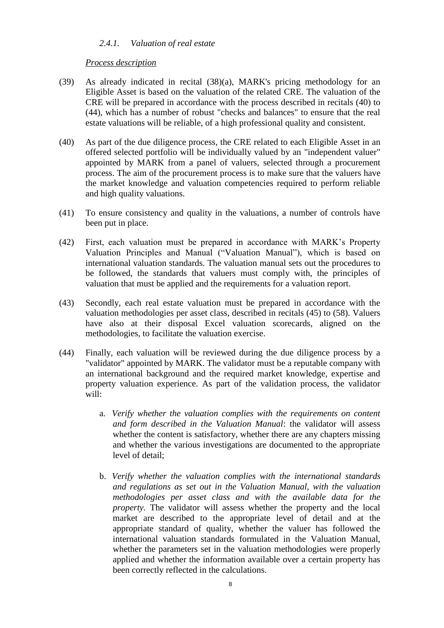## *2.4.1. Valuation of real estate*

#### *Process description*

- (39) As already indicated in recital [\(38\)\(a\),](#page-6-0) MARK's pricing methodology for an Eligible Asset is based on the valuation of the related CRE. The valuation of the CRE will be prepared in accordance with the process described in recitals (40) to [\(44\),](#page-7-0) which has a number of robust "checks and balances" to ensure that the real estate valuations will be reliable, of a high professional quality and consistent.
- (40) As part of the due diligence process, the CRE related to each Eligible Asset in an offered selected portfolio will be individually valued by an "independent valuer" appointed by MARK from a panel of valuers, selected through a procurement process. The aim of the procurement process is to make sure that the valuers have the market knowledge and valuation competencies required to perform reliable and high quality valuations.
- (41) To ensure consistency and quality in the valuations, a number of controls have been put in place.
- (42) First, each valuation must be prepared in accordance with MARK's Property Valuation Principles and Manual ("Valuation Manual"), which is based on international valuation standards. The valuation manual sets out the procedures to be followed, the standards that valuers must comply with, the principles of valuation that must be applied and the requirements for a valuation report.
- <span id="page-7-1"></span>(43) Secondly, each real estate valuation must be prepared in accordance with the valuation methodologies per asset class, described in recitals (45) to [\(58\).](#page-10-0) Valuers have also at their disposal Excel valuation scorecards, aligned on the methodologies, to facilitate the valuation exercise.
- <span id="page-7-0"></span>(44) Finally, each valuation will be reviewed during the due diligence process by a "validator" appointed by MARK. The validator must be a reputable company with an international background and the required market knowledge, expertise and property valuation experience. As part of the validation process, the validator will:
	- a. *Verify whether the valuation complies with the requirements on content and form described in the Valuation Manual*: the validator will assess whether the content is satisfactory, whether there are any chapters missing and whether the various investigations are documented to the appropriate level of detail;
	- b. *Verify whether the valuation complies with the international standards and regulations as set out in the Valuation Manual, with the valuation methodologies per asset class and with the available data for the property.* The validator will assess whether the property and the local market are described to the appropriate level of detail and at the appropriate standard of quality, whether the valuer has followed the international valuation standards formulated in the Valuation Manual, whether the parameters set in the valuation methodologies were properly applied and whether the information available over a certain property has been correctly reflected in the calculations.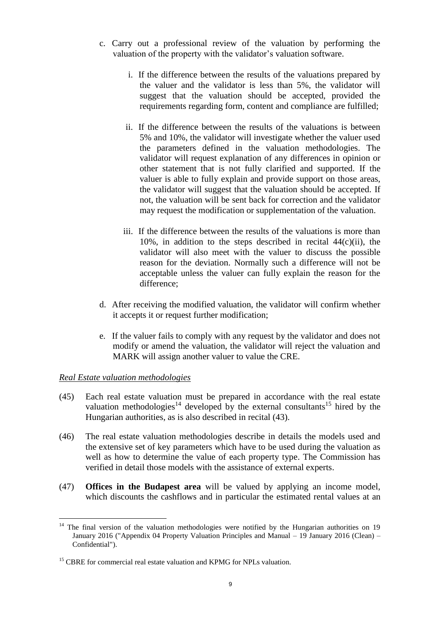- c. Carry out a professional review of the valuation by performing the valuation of the property with the validator's valuation software.
	- i. If the difference between the results of the valuations prepared by the valuer and the validator is less than 5%, the validator will suggest that the valuation should be accepted, provided the requirements regarding form, content and compliance are fulfilled;
	- ii. If the difference between the results of the valuations is between 5% and 10%, the validator will investigate whether the valuer used the parameters defined in the valuation methodologies. The validator will request explanation of any differences in opinion or other statement that is not fully clarified and supported. If the valuer is able to fully explain and provide support on those areas, the validator will suggest that the valuation should be accepted. If not, the valuation will be sent back for correction and the validator may request the modification or supplementation of the valuation.
	- iii. If the difference between the results of the valuations is more than 10%, in addition to the steps described in recital  $44(c)(ii)$ , the validator will also meet with the valuer to discuss the possible reason for the deviation. Normally such a difference will not be acceptable unless the valuer can fully explain the reason for the difference;
- d. After receiving the modified valuation, the validator will confirm whether it accepts it or request further modification;
- e. If the valuer fails to comply with any request by the validator and does not modify or amend the valuation, the validator will reject the valuation and MARK will assign another valuer to value the CRE.

#### *Real Estate valuation methodologies*

- <span id="page-8-0"></span>(45) Each real estate valuation must be prepared in accordance with the real estate valuation methodologies<sup>14</sup> developed by the external consultants<sup>15</sup> hired by the Hungarian authorities, as is also described in recital [\(43\).](#page-7-1)
- (46) The real estate valuation methodologies describe in details the models used and the extensive set of key parameters which have to be used during the valuation as well as how to determine the value of each property type. The Commission has verified in detail those models with the assistance of external experts.
- (47) **Offices in the Budapest area** will be valued by applying an income model, which discounts the cashflows and in particular the estimated rental values at an

 $14$  The final version of the valuation methodologies were notified by the Hungarian authorities on 19 January 2016 ("Appendix 04 Property Valuation Principles and Manual – 19 January 2016 (Clean) – Confidential").

 $15$  CBRE for commercial real estate valuation and KPMG for NPLs valuation.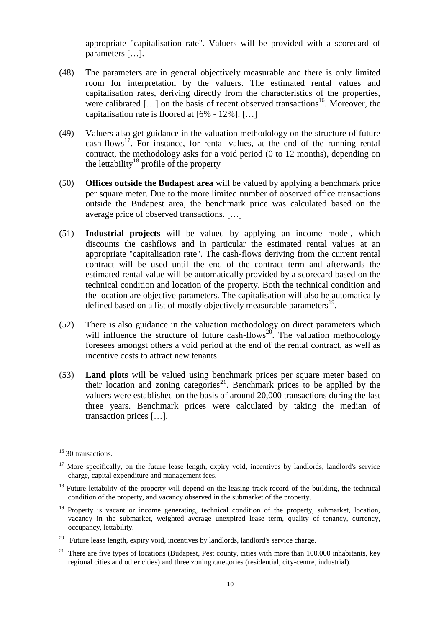appropriate "capitalisation rate". Valuers will be provided with a scorecard of parameters […].

- (48) The parameters are in general objectively measurable and there is only limited room for interpretation by the valuers. The estimated rental values and capitalisation rates, deriving directly from the characteristics of the properties, were calibrated [...] on the basis of recent observed transactions<sup>16</sup>. Moreover, the capitalisation rate is floored at [6% - 12%]. […]
- (49) Valuers also get guidance in the valuation methodology on the structure of future  $\text{cash-flows}^{\frac{17}{7}}$ . For instance, for rental values, at the end of the running rental contract, the methodology asks for a void period (0 to 12 months), depending on the lettability<sup>18</sup> profile of the property
- (50) **Offices outside the Budapest area** will be valued by applying a benchmark price per square meter. Due to the more limited number of observed office transactions outside the Budapest area, the benchmark price was calculated based on the average price of observed transactions. […]
- (51) **Industrial projects** will be valued by applying an income model, which discounts the cashflows and in particular the estimated rental values at an appropriate "capitalisation rate". The cash-flows deriving from the current rental contract will be used until the end of the contract term and afterwards the estimated rental value will be automatically provided by a scorecard based on the technical condition and location of the property. Both the technical condition and the location are objective parameters. The capitalisation will also be automatically defined based on a list of mostly objectively measurable parameters $^{19}$ .
- (52) There is also guidance in the valuation methodology on direct parameters which will influence the structure of future cash-flows<sup>20</sup>. The valuation methodology foresees amongst others a void period at the end of the rental contract, as well as incentive costs to attract new tenants.
- (53) **Land plots** will be valued using benchmark prices per square meter based on their location and zoning categories<sup>21</sup>. Benchmark prices to be applied by the valuers were established on the basis of around 20,000 transactions during the last three years. Benchmark prices were calculated by taking the median of transaction prices […].

<sup>&</sup>lt;sup>16</sup> 30 transactions.

<sup>&</sup>lt;sup>17</sup> More specifically, on the future lease length, expiry void, incentives by landlords, landlord's service charge, capital expenditure and management fees.

<sup>&</sup>lt;sup>18</sup> Future lettability of the property will depend on the leasing track record of the building, the technical condition of the property, and vacancy observed in the submarket of the property.

<sup>&</sup>lt;sup>19</sup> Property is vacant or income generating, technical condition of the property, submarket, location, vacancy in the submarket, weighted average unexpired lease term, quality of tenancy, currency, occupancy, lettability.

 $20$  Future lease length, expiry void, incentives by landlords, landlord's service charge.

<sup>21</sup> There are five types of locations (Budapest, Pest county, cities with more than 100,000 inhabitants, key regional cities and other cities) and three zoning categories (residential, city-centre, industrial).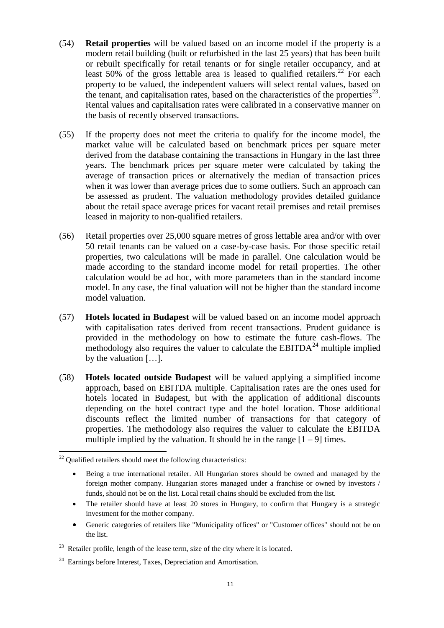- (54) **Retail properties** will be valued based on an income model if the property is a modern retail building (built or refurbished in the last 25 years) that has been built or rebuilt specifically for retail tenants or for single retailer occupancy, and at least 50% of the gross lettable area is leased to qualified retailers.<sup>22</sup> For each property to be valued, the independent valuers will select rental values, based on the tenant, and capitalisation rates, based on the characteristics of the properties $^{23}$ . Rental values and capitalisation rates were calibrated in a conservative manner on the basis of recently observed transactions.
- (55) If the property does not meet the criteria to qualify for the income model, the market value will be calculated based on benchmark prices per square meter derived from the database containing the transactions in Hungary in the last three years. The benchmark prices per square meter were calculated by taking the average of transaction prices or alternatively the median of transaction prices when it was lower than average prices due to some outliers. Such an approach can be assessed as prudent. The valuation methodology provides detailed guidance about the retail space average prices for vacant retail premises and retail premises leased in majority to non-qualified retailers.
- (56) Retail properties over 25,000 square metres of gross lettable area and/or with over 50 retail tenants can be valued on a case-by-case basis. For those specific retail properties, two calculations will be made in parallel. One calculation would be made according to the standard income model for retail properties. The other calculation would be ad hoc, with more parameters than in the standard income model. In any case, the final valuation will not be higher than the standard income model valuation.
- (57) **Hotels located in Budapest** will be valued based on an income model approach with capitalisation rates derived from recent transactions. Prudent guidance is provided in the methodology on how to estimate the future cash-flows. The methodology also requires the valuer to calculate the  $EBITDA<sup>24</sup>$  multiple implied by the valuation […].
- <span id="page-10-0"></span>(58) **Hotels located outside Budapest** will be valued applying a simplified income approach, based on EBITDA multiple. Capitalisation rates are the ones used for hotels located in Budapest, but with the application of additional discounts depending on the hotel contract type and the hotel location. Those additional discounts reflect the limited number of transactions for that category of properties. The methodology also requires the valuer to calculate the EBITDA multiple implied by the valuation. It should be in the range  $[1 - 9]$  times.

 $\overline{a}$ 

 Generic categories of retailers like "Municipality offices" or "Customer offices" should not be on the list.

 $22$  Qualified retailers should meet the following characteristics:

Being a true international retailer. All Hungarian stores should be owned and managed by the foreign mother company. Hungarian stores managed under a franchise or owned by investors / funds, should not be on the list. Local retail chains should be excluded from the list.

<sup>•</sup> The retailer should have at least 20 stores in Hungary, to confirm that Hungary is a strategic investment for the mother company.

 $2<sup>23</sup>$  Retailer profile, length of the lease term, size of the city where it is located.

<sup>&</sup>lt;sup>24</sup> Earnings before Interest, Taxes, Depreciation and Amortisation.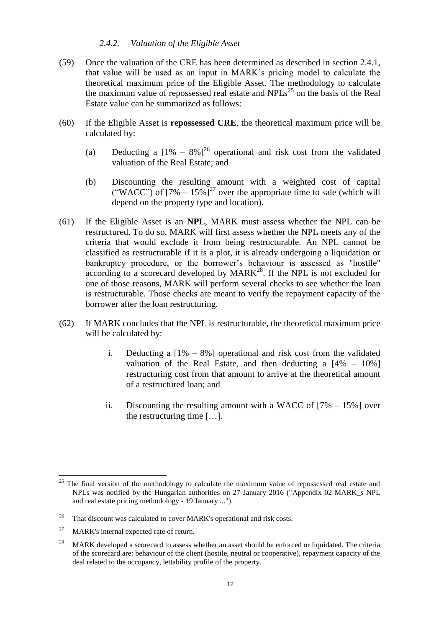#### *2.4.2. Valuation of the Eligible Asset*

- (59) Once the valuation of the CRE has been determined as described in section 2.4.1, that value will be used as an input in MARK's pricing model to calculate the theoretical maximum price of the Eligible Asset. The methodology to calculate the maximum value of repossessed real estate and  $NPLs<sup>25</sup>$  on the basis of the Real Estate value can be summarized as follows:
- (60) If the Eligible Asset is **repossessed CRE**, the theoretical maximum price will be calculated by:
	- (a) Deducting a  $[1\% 8\%]^{26}$  operational and risk cost from the validated valuation of the Real Estate; and
	- (b) Discounting the resulting amount with a weighted cost of capital ("WACC") of  $[7\% - 15\%]^{27}$  over the appropriate time to sale (which will depend on the property type and location).
- (61) If the Eligible Asset is an **NPL**, MARK must assess whether the NPL can be restructured. To do so, MARK will first assess whether the NPL meets any of the criteria that would exclude it from being restructurable. An NPL cannot be classified as restructurable if it is a plot, it is already undergoing a liquidation or bankruptcy procedure, or the borrower's behaviour is assessed as "hostile" according to a scorecard developed by  $MARK^{28}$ . If the NPL is not excluded for one of those reasons, MARK will perform several checks to see whether the loan is restructurable. Those checks are meant to verify the repayment capacity of the borrower after the loan restructuring.
- <span id="page-11-0"></span>(62) If MARK concludes that the NPL is restructurable, the theoretical maximum price will be calculated by:
	- i. Deducting a  $[1\% 8\%]$  operational and risk cost from the validated valuation of the Real Estate, and then deducting a  $[4\% - 10\%]$ restructuring cost from that amount to arrive at the theoretical amount of a restructured loan; and
	- ii. Discounting the resulting amount with a WACC of  $[7\% 15\%]$  over the restructuring time […].

 $\overline{a}$  $25$  The final version of the methodology to calculate the maximum value of repossessed real estate and NPLs was notified by the Hungarian authorities on 27 January 2016 ("Appendix 02 MARK\_s NPL and real estate pricing methodology - 19 January ...").

<sup>&</sup>lt;sup>26</sup> That discount was calculated to cover MARK's operational and risk costs.

 $27$  MARK's internal expected rate of return.

<sup>&</sup>lt;sup>28</sup> MARK developed a scorecard to assess whether an asset should be enforced or liquidated. The criteria of the scorecard are: behaviour of the client (hostile, neutral or cooperative), repayment capacity of the deal related to the occupancy, lettability profile of the property.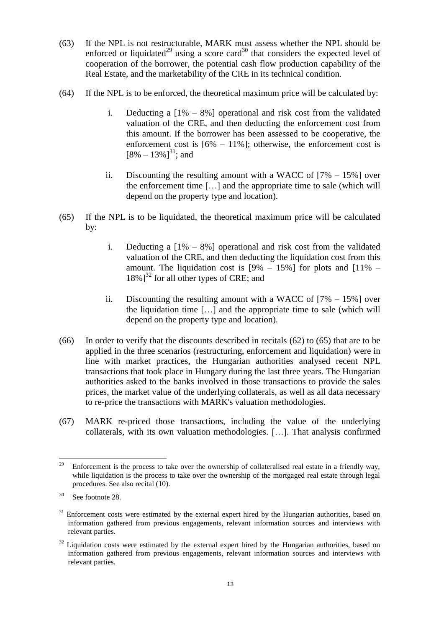- (63) If the NPL is not restructurable, MARK must assess whether the NPL should be enforced or liquidated<sup>29</sup> using a score card<sup>30</sup> that considers the expected level of cooperation of the borrower, the potential cash flow production capability of the Real Estate, and the marketability of the CRE in its technical condition.
- (64) If the NPL is to be enforced, the theoretical maximum price will be calculated by:
	- i. Deducting a  $[1\% 8\%]$  operational and risk cost from the validated valuation of the CRE, and then deducting the enforcement cost from this amount. If the borrower has been assessed to be cooperative, the enforcement cost is  $[6\% - 11\%]$ ; otherwise, the enforcement cost is  $[8\% - 13\%]^{31}$ ; and
	- ii. Discounting the resulting amount with a WACC of  $[7\% 15\%]$  over the enforcement time […] and the appropriate time to sale (which will depend on the property type and location).
- <span id="page-12-0"></span>(65) If the NPL is to be liquidated, the theoretical maximum price will be calculated by:
	- i. Deducting a  $[1\% 8\%]$  operational and risk cost from the validated valuation of the CRE, and then deducting the liquidation cost from this amount. The liquidation cost is  $[9\% - 15\%]$  for plots and  $[11\% 18\%$ ]<sup>32</sup> for all other types of CRE; and
	- ii. Discounting the resulting amount with a WACC of  $[7\% 15\%]$  over the liquidation time […] and the appropriate time to sale (which will depend on the property type and location).
- <span id="page-12-1"></span>(66) In order to verify that the discounts described in recitals [\(62\)](#page-11-0) to [\(65\)](#page-12-0) that are to be applied in the three scenarios (restructuring, enforcement and liquidation) were in line with market practices, the Hungarian authorities analysed recent NPL transactions that took place in Hungary during the last three years. The Hungarian authorities asked to the banks involved in those transactions to provide the sales prices, the market value of the underlying collaterals, as well as all data necessary to re-price the transactions with MARK's valuation methodologies.
- <span id="page-12-2"></span>(67) MARK re-priced those transactions, including the value of the underlying collaterals, with its own valuation methodologies. […]. That analysis confirmed

<sup>29</sup> <sup>29</sup> Enforcement is the process to take over the ownership of collateralised real estate in a friendly way, while liquidation is the process to take over the ownership of the mortgaged real estate through legal procedures. See also recital [\(10\).](#page-2-0)

<sup>30</sup> See footnote 28.

<sup>&</sup>lt;sup>31</sup> Enforcement costs were estimated by the external expert hired by the Hungarian authorities, based on information gathered from previous engagements, relevant information sources and interviews with relevant parties.

<sup>&</sup>lt;sup>32</sup> Liquidation costs were estimated by the external expert hired by the Hungarian authorities, based on information gathered from previous engagements, relevant information sources and interviews with relevant parties.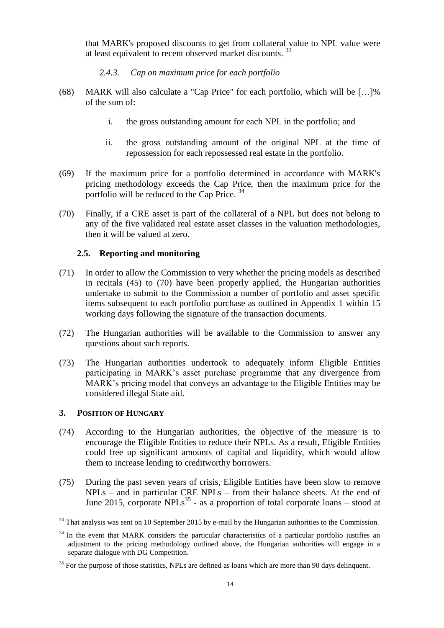that MARK's proposed discounts to get from collateral value to NPL value were at least equivalent to recent observed market discounts.<sup>33</sup>

- *2.4.3. Cap on maximum price for each portfolio*
- (68) MARK will also calculate a "Cap Price" for each portfolio, which will be […]% of the sum of:
	- i. the gross outstanding amount for each NPL in the portfolio; and
	- ii. the gross outstanding amount of the original NPL at the time of repossession for each repossessed real estate in the portfolio.
- (69) If the maximum price for a portfolio determined in accordance with MARK's pricing methodology exceeds the Cap Price, then the maximum price for the portfolio will be reduced to the Cap Price. <sup>34</sup>
- <span id="page-13-0"></span>(70) Finally, if a CRE asset is part of the collateral of a NPL but does not belong to any of the five validated real estate asset classes in the valuation methodologies, then it will be valued at zero.

## **2.5. Reporting and monitoring**

- (71) In order to allow the Commission to very whether the pricing models as described in recitals (45) to [\(70\)](#page-13-0) have been properly applied, the Hungarian authorities undertake to submit to the Commission a number of portfolio and asset specific items subsequent to each portfolio purchase as outlined in Appendix 1 within 15 working days following the signature of the transaction documents.
- (72) The Hungarian authorities will be available to the Commission to answer any questions about such reports.
- (73) The Hungarian authorities undertook to adequately inform Eligible Entities participating in MARK's asset purchase programme that any divergence from MARK's pricing model that conveys an advantage to the Eligible Entities may be considered illegal State aid.

#### **3. POSITION OF HUNGARY**

- (74) According to the Hungarian authorities, the objective of the measure is to encourage the Eligible Entities to reduce their NPLs. As a result, Eligible Entities could free up significant amounts of capital and liquidity, which would allow them to increase lending to creditworthy borrowers.
- (75) During the past seven years of crisis, Eligible Entities have been slow to remove NPLs – and in particular CRE NPLs – from their balance sheets. At the end of June 2015, corporate  $NPLs<sup>35</sup>$  - as a proportion of total corporate loans – stood at

 $33$  That analysis was sent on 10 September 2015 by e-mail by the Hungarian authorities to the Commission.

 $34$  In the event that MARK considers the particular characteristics of a particular portfolio justifies an adjustment to the pricing methodology outlined above, the Hungarian authorities will engage in a separate dialogue with DG Competition.

<sup>&</sup>lt;sup>35</sup> For the purpose of those statistics, NPLs are defined as loans which are more than 90 days delinquent.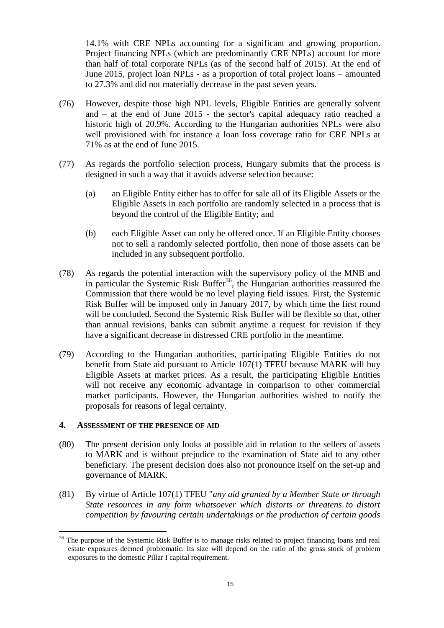14.1% with CRE NPLs accounting for a significant and growing proportion. Project financing NPLs (which are predominantly CRE NPLs) account for more than half of total corporate NPLs (as of the second half of 2015). At the end of June 2015, project loan NPLs - as a proportion of total project loans – amounted to 27.3% and did not materially decrease in the past seven years.

- (76) However, despite those high NPL levels, Eligible Entities are generally solvent and – at the end of June 2015 - the sector's capital adequacy ratio reached a historic high of 20.9%. According to the Hungarian authorities NPLs were also well provisioned with for instance a loan loss coverage ratio for CRE NPLs at 71% as at the end of June 2015.
- (77) As regards the portfolio selection process, Hungary submits that the process is designed in such a way that it avoids adverse selection because:
	- (a) an Eligible Entity either has to offer for sale all of its Eligible Assets or the Eligible Assets in each portfolio are randomly selected in a process that is beyond the control of the Eligible Entity; and
	- (b) each Eligible Asset can only be offered once. If an Eligible Entity chooses not to sell a randomly selected portfolio, then none of those assets can be included in any subsequent portfolio.
- (78) As regards the potential interaction with the supervisory policy of the MNB and in particular the Systemic Risk Buffer<sup>36</sup>, the Hungarian authorities reassured the Commission that there would be no level playing field issues. First, the Systemic Risk Buffer will be imposed only in January 2017, by which time the first round will be concluded. Second the Systemic Risk Buffer will be flexible so that, other than annual revisions, banks can submit anytime a request for revision if they have a significant decrease in distressed CRE portfolio in the meantime.
- (79) According to the Hungarian authorities, participating Eligible Entities do not benefit from State aid pursuant to Article 107(1) TFEU because MARK will buy Eligible Assets at market prices. As a result, the participating Eligible Entities will not receive any economic advantage in comparison to other commercial market participants. However, the Hungarian authorities wished to notify the proposals for reasons of legal certainty.

#### **4. ASSESSMENT OF THE PRESENCE OF AID**

- (80) The present decision only looks at possible aid in relation to the sellers of assets to MARK and is without prejudice to the examination of State aid to any other beneficiary. The present decision does also not pronounce itself on the set-up and governance of MARK.
- (81) By virtue of Article 107(1) TFEU "*any aid granted by a Member State or through State resources in any form whatsoever which distorts or threatens to distort competition by favouring certain undertakings or the production of certain goods*

<sup>&</sup>lt;sup>36</sup> The purpose of the Systemic Risk Buffer is to manage risks related to project financing loans and real estate exposures deemed problematic. Its size will depend on the ratio of the gross stock of problem exposures to the domestic Pillar I capital requirement.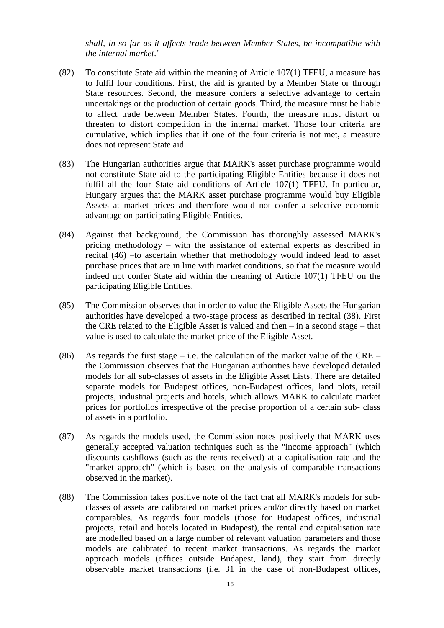*shall, in so far as it affects trade between Member States, be incompatible with the internal market*."

- (82) To constitute State aid within the meaning of Article 107(1) TFEU, a measure has to fulfil four conditions. First, the aid is granted by a Member State or through State resources. Second, the measure confers a selective advantage to certain undertakings or the production of certain goods. Third, the measure must be liable to affect trade between Member States. Fourth, the measure must distort or threaten to distort competition in the internal market. Those four criteria are cumulative, which implies that if one of the four criteria is not met, a measure does not represent State aid.
- (83) The Hungarian authorities argue that MARK's asset purchase programme would not constitute State aid to the participating Eligible Entities because it does not fulfil all the four State aid conditions of Article 107(1) TFEU. In particular, Hungary argues that the MARK asset purchase programme would buy Eligible Assets at market prices and therefore would not confer a selective economic advantage on participating Eligible Entities.
- (84) Against that background, the Commission has thoroughly assessed MARK's pricing methodology – with the assistance of external experts as described in recital (46) –to ascertain whether that methodology would indeed lead to asset purchase prices that are in line with market conditions, so that the measure would indeed not confer State aid within the meaning of Article 107(1) TFEU on the participating Eligible Entities.
- (85) The Commission observes that in order to value the Eligible Assets the Hungarian authorities have developed a two-stage process as described in recital (38). First the CRE related to the Eligible Asset is valued and then  $-$  in a second stage  $-$  that value is used to calculate the market price of the Eligible Asset.
- (86) As regards the first stage i.e. the calculation of the market value of the CRE the Commission observes that the Hungarian authorities have developed detailed models for all sub-classes of assets in the Eligible Asset Lists. There are detailed separate models for Budapest offices, non-Budapest offices, land plots, retail projects, industrial projects and hotels, which allows MARK to calculate market prices for portfolios irrespective of the precise proportion of a certain sub- class of assets in a portfolio.
- (87) As regards the models used, the Commission notes positively that MARK uses generally accepted valuation techniques such as the "income approach" (which discounts cashflows (such as the rents received) at a capitalisation rate and the "market approach" (which is based on the analysis of comparable transactions observed in the market).
- (88) The Commission takes positive note of the fact that all MARK's models for subclasses of assets are calibrated on market prices and/or directly based on market comparables. As regards four models (those for Budapest offices, industrial projects, retail and hotels located in Budapest), the rental and capitalisation rate are modelled based on a large number of relevant valuation parameters and those models are calibrated to recent market transactions. As regards the market approach models (offices outside Budapest, land), they start from directly observable market transactions (i.e. 31 in the case of non-Budapest offices,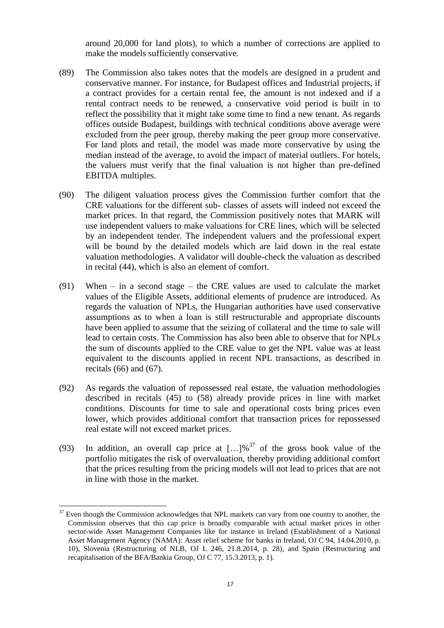around 20,000 for land plots), to which a number of corrections are applied to make the models sufficiently conservative.

- (89) The Commission also takes notes that the models are designed in a prudent and conservative manner. For instance, for Budapest offices and Industrial projects, if a contract provides for a certain rental fee, the amount is not indexed and if a rental contract needs to be renewed, a conservative void period is built in to reflect the possibility that it might take some time to find a new tenant. As regards offices outside Budapest, buildings with technical conditions above average were excluded from the peer group, thereby making the peer group more conservative. For land plots and retail, the model was made more conservative by using the median instead of the average, to avoid the impact of material outliers. For hotels, the valuers must verify that the final valuation is not higher than pre-defined EBITDA multiples.
- (90) The diligent valuation process gives the Commission further comfort that the CRE valuations for the different sub- classes of assets will indeed not exceed the market prices. In that regard, the Commission positively notes that MARK will use independent valuers to make valuations for CRE lines, which will be selected by an independent tender. The independent valuers and the professional expert will be bound by the detailed models which are laid down in the real estate valuation methodologies. A validator will double-check the valuation as described in recital (44), which is also an element of comfort.
- (91) When in a second stage the CRE values are used to calculate the market values of the Eligible Assets, additional elements of prudence are introduced. As regards the valuation of NPLs, the Hungarian authorities have used conservative assumptions as to when a loan is still restructurable and appropriate discounts have been applied to assume that the seizing of collateral and the time to sale will lead to certain costs. The Commission has also been able to observe that for NPLs the sum of discounts applied to the CRE value to get the NPL value was at least equivalent to the discounts applied in recent NPL transactions, as described in recitals  $(66)$  and  $(67)$ .
- (92) As regards the valuation of repossessed real estate, the valuation methodologies described in recitals [\(45\)](#page-8-0) to [\(58\)](#page-10-0) already provide prices in line with market conditions. Discounts for time to sale and operational costs bring prices even lower, which provides additional comfort that transaction prices for repossessed real estate will not exceed market prices.
- (93) In addition, an overall cap price at  $\left[ \ldots \right]$ %<sup>37</sup> of the gross book value of the portfolio mitigates the risk of overvaluation, thereby providing additional comfort that the prices resulting from the pricing models will not lead to prices that are not in line with those in the market.

 $37$  Even though the Commission acknowledges that NPL markets can vary from one country to another, the Commission observes that this cap price is broadly comparable with actual market prices in other sector-wide Asset Management Companies like for instance in Ireland (Establishment of a National Asset Management Agency (NAMA): Asset relief scheme for banks in Ireland, OJ C 94, 14.04.2010, p. 10), Slovenia (Restructuring of NLB, OJ L 246, 21.8.2014, p. 28), and Spain (Restructuring and recapitalisation of the BFA/Bankia Group, OJ C 77, 15.3.2013, p. 1).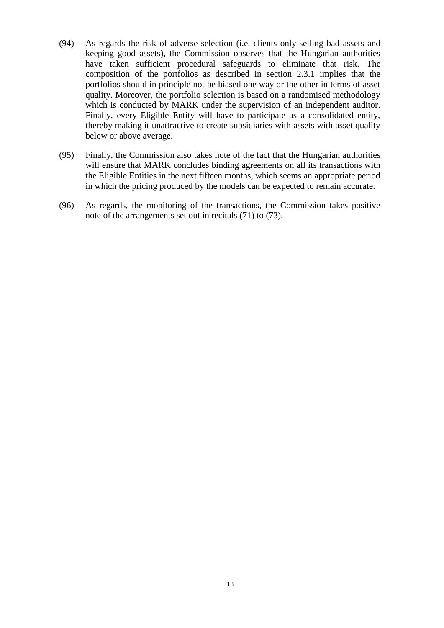- (94) As regards the risk of adverse selection (i.e. clients only selling bad assets and keeping good assets), the Commission observes that the Hungarian authorities have taken sufficient procedural safeguards to eliminate that risk. The composition of the portfolios as described in section 2.3.1 implies that the portfolios should in principle not be biased one way or the other in terms of asset quality. Moreover, the portfolio selection is based on a randomised methodology which is conducted by MARK under the supervision of an independent auditor. Finally, every Eligible Entity will have to participate as a consolidated entity, thereby making it unattractive to create subsidiaries with assets with asset quality below or above average.
- (95) Finally, the Commission also takes note of the fact that the Hungarian authorities will ensure that MARK concludes binding agreements on all its transactions with the Eligible Entities in the next fifteen months, which seems an appropriate period in which the pricing produced by the models can be expected to remain accurate.
- (96) As regards, the monitoring of the transactions, the Commission takes positive note of the arrangements set out in recitals (71) to (73).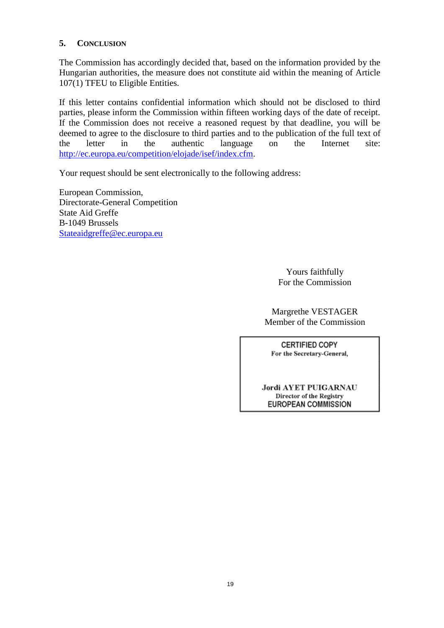## **5. CONCLUSION**

The Commission has accordingly decided that, based on the information provided by the Hungarian authorities, the measure does not constitute aid within the meaning of Article 107(1) TFEU to Eligible Entities.

If this letter contains confidential information which should not be disclosed to third parties, please inform the Commission within fifteen working days of the date of receipt. If the Commission does not receive a reasoned request by that deadline, you will be deemed to agree to the disclosure to third parties and to the publication of the full text of the letter in the authentic language on the Internet site: [http://ec.europa.eu/competition/elojade/isef/index.cfm.](http://ec.europa.eu/competition/elojade/isef/index.cfm)

Your request should be sent electronically to the following address:

European Commission, Directorate-General Competition State Aid Greffe B-1049 Brussels [Stateaidgreffe@ec.europa.eu](mailto:Stateaidgreffe@ec.europa.eu)

> Yours faithfully For the Commission

Margrethe VESTAGER Member of the Commission

**CERTIFIED COPY** For the Secretary-General,

**Jordi AYET PUIGARNAU** Director of the Registry **EUROPEAN COMMISSION**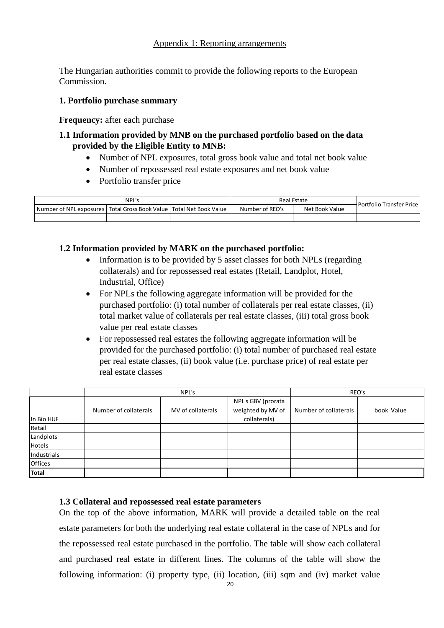#### Appendix 1: Reporting arrangements

The Hungarian authorities commit to provide the following reports to the European Commission.

## **1. Portfolio purchase summary**

**Frequency:** after each purchase

## **1.1 Information provided by MNB on the purchased portfolio based on the data provided by the Eligible Entity to MNB:**

- Number of NPL exposures, total gross book value and total net book value
- Number of repossessed real estate exposures and net book value
- Portfolio transfer price

|                                                                           | NPL's | <b>Real Estate</b> | Portfolio Transfer Price |  |  |
|---------------------------------------------------------------------------|-------|--------------------|--------------------------|--|--|
| I Number of NPL exposures   Total Gross Book Value   Total Net Book Value |       | Number of REO's    | Net Book Value           |  |  |
|                                                                           |       |                    |                          |  |  |

## **1.2 Information provided by MARK on the purchased portfolio:**

- Information is to be provided by 5 asset classes for both NPLs (regarding collaterals) and for repossessed real estates (Retail, Landplot, Hotel, Industrial, Office)
- For NPLs the following aggregate information will be provided for the purchased portfolio: (i) total number of collaterals per real estate classes, (ii) total market value of collaterals per real estate classes, (iii) total gross book value per real estate classes
- For repossessed real estates the following aggregate information will be provided for the purchased portfolio: (i) total number of purchased real estate per real estate classes, (ii) book value (i.e. purchase price) of real estate per real estate classes

|                |                       | NPL's             | REO's                                                   |                       |            |
|----------------|-----------------------|-------------------|---------------------------------------------------------|-----------------------|------------|
| In Bio HUF     | Number of collaterals | MV of collaterals | NPL's GBV (prorata<br>weighted by MV of<br>collaterals) | Number of collaterals | book Value |
| Retail         |                       |                   |                                                         |                       |            |
| Landplots      |                       |                   |                                                         |                       |            |
| Hotels         |                       |                   |                                                         |                       |            |
| Industrials    |                       |                   |                                                         |                       |            |
| <b>Offices</b> |                       |                   |                                                         |                       |            |
| <b>Total</b>   |                       |                   |                                                         |                       |            |

#### **1.3 Collateral and repossessed real estate parameters**

On the top of the above information, MARK will provide a detailed table on the real estate parameters for both the underlying real estate collateral in the case of NPLs and for the repossessed real estate purchased in the portfolio. The table will show each collateral and purchased real estate in different lines. The columns of the table will show the following information: (i) property type, (ii) location, (iii) sqm and (iv) market value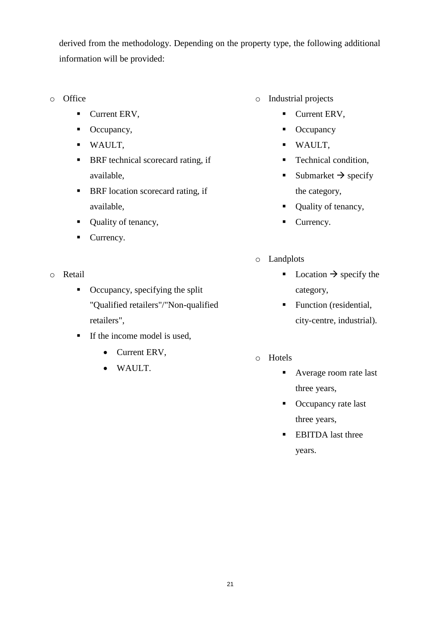derived from the methodology. Depending on the property type, the following additional information will be provided:

- o Office
	- Current ERV,
	- Occupancy,
	- WAULT,
	- BRF technical scorecard rating, if available,
	- **BRF** location scorecard rating, if available,
	- Quality of tenancy,
	- Currency.
- o Retail
	- $\blacksquare$  Occupancy, specifying the split "Qualified retailers"/"Non-qualified retailers",
	- $\blacksquare$  If the income model is used,
		- Current ERV,
		- WAULT.
- o Industrial projects
	- Current ERV,
	- Occupancy
	- WAULT,
	- **Technical condition,**
	- Submarket  $\rightarrow$  specify the category,
	- Quality of tenancy,
	- Currency.
- o Landplots
	- Location  $\rightarrow$  specify the category,
	- **Function** (residential, city-centre, industrial).
- o Hotels
	- Average room rate last three years,
	- Occupancy rate last three years,
	- **EBITDA** last three years.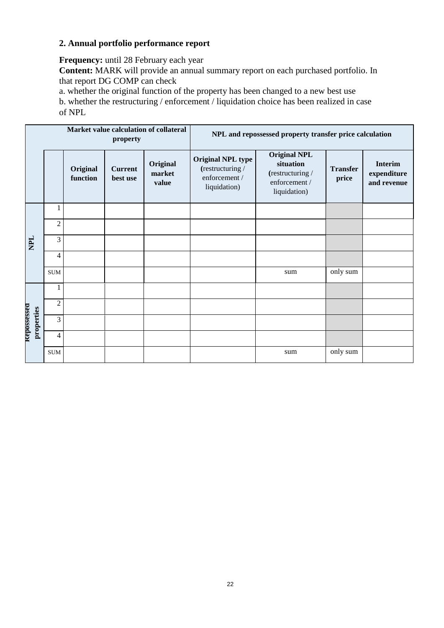# **2. Annual portfolio performance report**

**Frequency:** until 28 February each year

**Content:** MARK will provide an annual summary report on each purchased portfolio. In that report DG COMP can check

a. whether the original function of the property has been changed to a new best use

b. whether the restructuring / enforcement / liquidation choice has been realized in case of NPL

| Market value calculation of collateral<br>property |            |                | NPL and repossessed property transfer price calculation |                            |                             |                                                                               |                                                                                       |                          |                                              |
|----------------------------------------------------|------------|----------------|---------------------------------------------------------|----------------------------|-----------------------------|-------------------------------------------------------------------------------|---------------------------------------------------------------------------------------|--------------------------|----------------------------------------------|
|                                                    |            |                | Original<br>function                                    | <b>Current</b><br>best use | Original<br>market<br>value | <b>Original NPL type</b><br>(restructuring /<br>enforcement /<br>liquidation) | <b>Original NPL</b><br>situation<br>(restructuring /<br>enforcement /<br>liquidation) | <b>Transfer</b><br>price | <b>Interim</b><br>expenditure<br>and revenue |
|                                                    |            | 1              |                                                         |                            |                             |                                                                               |                                                                                       |                          |                                              |
|                                                    |            | $\overline{c}$ |                                                         |                            |                             |                                                                               |                                                                                       |                          |                                              |
| <b>HaN</b>                                         |            | 3              |                                                         |                            |                             |                                                                               |                                                                                       |                          |                                              |
|                                                    |            | 4              |                                                         |                            |                             |                                                                               |                                                                                       |                          |                                              |
|                                                    |            | <b>SUM</b>     |                                                         |                            |                             |                                                                               | sum                                                                                   | only sum                 |                                              |
| <b>Repossessed</b>                                 |            | 1              |                                                         |                            |                             |                                                                               |                                                                                       |                          |                                              |
|                                                    |            | $\overline{2}$ |                                                         |                            |                             |                                                                               |                                                                                       |                          |                                              |
|                                                    | properties | 3              |                                                         |                            |                             |                                                                               |                                                                                       |                          |                                              |
|                                                    |            | $\overline{4}$ |                                                         |                            |                             |                                                                               |                                                                                       |                          |                                              |
|                                                    |            | <b>SUM</b>     |                                                         |                            |                             |                                                                               | sum                                                                                   | only sum                 |                                              |